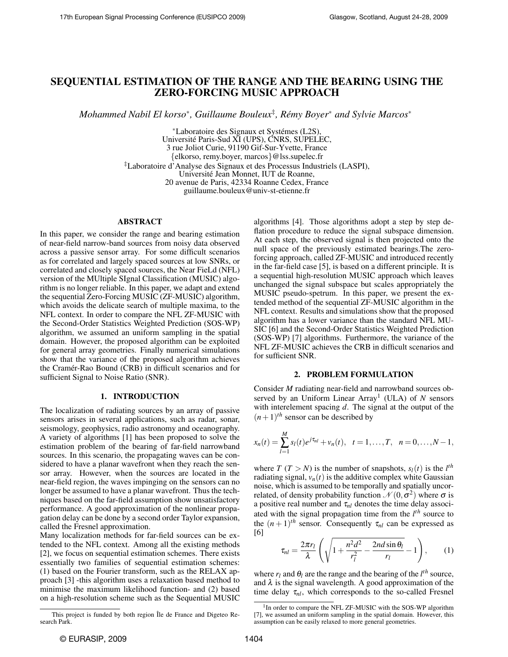# SEQUENTIAL ESTIMATION OF THE RANGE AND THE BEARING USING THE ZERO-FORCING MUSIC APPROACH

*Mohammed Nabil El korso*<sup>∗</sup> *, Guillaume Bouleux*‡ *, Remy Boyer ´* <sup>∗</sup> *and Sylvie Marcos*<sup>∗</sup>

<sup>∗</sup>Laboratoire des Signaux et Systemes (L2S), ´ Universite Paris-Sud XI (UPS), CNRS, SUPELEC, ´ 3 rue Joliot Curie, 91190 Gif-Sur-Yvette, France {elkorso, remy.boyer, marcos}@lss.supelec.fr ‡Laboratoire d'Analyse des Signaux et des Processus Industriels (LASPI), Universite Jean Monnet, IUT de Roanne, ´ 20 avenue de Paris, 42334 Roanne Cedex, France guillaume.bouleux@univ-st-etienne.fr

### ABSTRACT

In this paper, we consider the range and bearing estimation of near-field narrow-band sources from noisy data observed across a passive sensor array. For some difficult scenarios as for correlated and largely spaced sources at low SNRs, or correlated and closely spaced sources, the Near FieLd (NFL) version of the MUltiple SIgnal Classification (MUSIC) algorithm is no longer reliable. In this paper, we adapt and extend the sequential Zero-Forcing MUSIC (ZF-MUSIC) algorithm, which avoids the delicate search of multiple maxima, to the NFL context. In order to compare the NFL ZF-MUSIC with the Second-Order Statistics Weighted Prediction (SOS-WP) algorithm, we assumed an uniform sampling in the spatial domain. However, the proposed algorithm can be exploited for general array geometries. Finally numerical simulations show that the variance of the proposed algorithm achieves the Cramér-Rao Bound (CRB) in difficult scenarios and for sufficient Signal to Noise Ratio (SNR).

### 1. INTRODUCTION

The localization of radiating sources by an array of passive sensors arises in several applications, such as radar, sonar, seismology, geophysics, radio astronomy and oceanography. A variety of algorithms [1] has been proposed to solve the estimation problem of the bearing of far-field narrowband sources. In this scenario, the propagating waves can be considered to have a planar wavefront when they reach the sensor array. However, when the sources are located in the near-field region, the waves impinging on the sensors can no longer be assumed to have a planar wavefront. Thus the techniques based on the far-field assumption show unsatisfactory performance. A good approximation of the nonlinear propagation delay can be done by a second order Taylor expansion, called the Fresnel approximation.

Many localization methods for far-field sources can be extended to the NFL context. Among all the existing methods [2], we focus on sequential estimation schemes. There exists essentially two families of sequential estimation schemes: (1) based on the Fourier transform, such as the RELAX approach [3] -this algorithm uses a relaxation based method to minimise the maximum likelihood function- and (2) based on a high-resolution scheme such as the Sequential MUSIC

algorithms [4]. Those algorithms adopt a step by step deflation procedure to reduce the signal subspace dimension. At each step, the observed signal is then projected onto the null space of the previously estimated bearings.The zeroforcing approach, called ZF-MUSIC and introduced recently in the far-field case [5], is based on a different principle. It is a sequential high-resolution MUSIC approach which leaves unchanged the signal subspace but scales appropriately the MUSIC pseudo-spetrum. In this paper, we present the extended method of the sequential ZF-MUSIC algorithm in the NFL context. Results and simulations show that the proposed algorithm has a lower variance than the standard NFL MU-SIC [6] and the Second-Order Statistics Weighted Prediction (SOS-WP) [7] algorithms. Furthermore, the variance of the NFL ZF-MUSIC achieves the CRB in difficult scenarios and for sufficient SNR.

### 2. PROBLEM FORMULATION

Consider *M* radiating near-field and narrowband sources observed by an Uniform Linear Array<sup>1</sup> (ULA) of *N* sensors with interelement spacing *d*. The signal at the output of the  $(n+1)$ <sup>th</sup> sensor can be described by

$$
x_n(t) = \sum_{l=1}^M s_l(t) e^{j\tau_{nl}} + v_n(t), \quad t = 1, \dots, T, \quad n = 0, \dots, N-1,
$$

where *T* (*T* > *N*) is the number of snapshots,  $s_l(t)$  is the  $l^{th}$ radiating signal,  $v_n(t)$  is the additive complex white Gaussian noise, which is assumed to be temporally and spatially uncorrelated, of density probability function  $\mathcal{N}(0, \sigma^2)$  where  $\sigma$  is a positive real number and  $\tau_{nl}$  denotes the time delay associated with the signal propagation time from the *l th* source to the  $(n+1)$ <sup>th</sup> sensor. Consequently  $\tau_{nl}$  can be expressed as [6]

$$
\tau_{nl} = \frac{2\pi r_l}{\lambda} \left( \sqrt{1 + \frac{n^2 d^2}{r_l^2} - \frac{2nd \sin \theta_l}{r_l}} - 1 \right), \qquad (1)
$$

where  $r_l$  and  $\theta_l$  are the range and the bearing of the  $l^{th}$  source, and  $\lambda$  is the signal wavelength. A good approximation of the time delay τ*nl*, which corresponds to the so-called Fresnel

This project is funded by both region Île de France and Digeteo Research Park.

<sup>&</sup>lt;sup>1</sup>In order to compare the NFL ZF-MUSIC with the SOS-WP algorithm [7], we assumed an uniform sampling in the spatial domain. However, this assumption can be easily relaxed to more general geometries.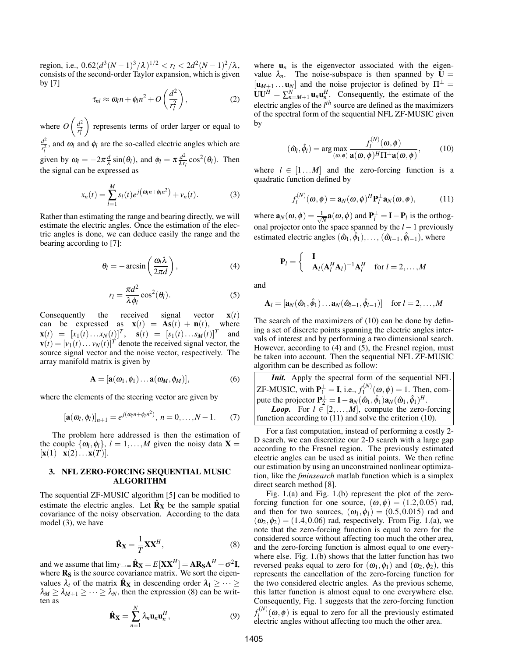region, i.e.,  $0.62(d^3(N-1)^3/\lambda)^{1/2} < r_l < 2d^2(N-1)^2/\lambda$ , consists of the second-order Taylor expansion, which is given by [7]

$$
\tau_{nl} \approx \omega_l n + \phi_l n^2 + O\left(\frac{d^2}{r_l^2}\right),\tag{2}
$$

where  $O\left(\frac{d^2}{r^2}\right)$  $r_l^2$  represents terms of order larger or equal to  $d^2$  $\frac{d^2}{d^2}$ , and  $\omega_l$  and  $\phi_l$  are the so-called electric angles which are given by  $\omega_l = -2\pi \frac{d}{\lambda}$  $\frac{d}{\lambda}$  sin( $\theta_l$ ), and  $\phi_l = \pi \frac{d^2}{\lambda r_l}$  $\frac{d^2}{\lambda r_l}$  cos<sup>2</sup>( $\theta_l$ ). Then the signal can be expressed as

$$
x_n(t) = \sum_{l=1}^{M} s_l(t) e^{j(\omega_l n + \phi_l n^2)} + v_n(t).
$$
 (3)

Rather than estimating the range and bearing directly, we will estimate the electric angles. Once the estimation of the electric angles is done, we can deduce easily the range and the bearing according to [7]:

$$
\theta_l = -\arcsin\left(\frac{\omega_l \lambda}{2\pi d}\right),\tag{4}
$$

$$
r_l = \frac{\pi d^2}{\lambda \phi_l} \cos^2(\theta_l). \tag{5}
$$

Consequently the received signal vector  $\mathbf{x}(t)$ can be expressed as  $\mathbf{x}(t) = \mathbf{A}\mathbf{s}(t) + \mathbf{n}(t)$ , where  $\mathbf{x}(t) = [x_1(t) \dots x_N(t)]^T$ ,  $\mathbf{s}(t) = [s_1(t) \dots s_M(t)]^T$  and  $\mathbf{v}(t) = [v_1(t) \dots v_N(t)]^T$  denote the received signal vector, the source signal vector and the noise vector, respectively. The array manifold matrix is given by

$$
\mathbf{A} = [\mathbf{a}(\omega_1, \phi_1) \dots \mathbf{a}(\omega_M, \phi_M)], \tag{6}
$$

where the elements of the steering vector are given by

$$
[\mathbf{a}(\omega_l, \phi_l)]_{n+1} = e^{j(\omega_l n + \phi_l n^2)}, \ n = 0, \dots, N-1.
$$
 (7)

The problem here addressed is then the estimation of the couple  $\{\omega_l, \phi_l\}$ ,  $l = 1, ..., M$  given the noisy data **X** =  $[\mathbf{x}(1) \quad \mathbf{x}(2) \dots \mathbf{x}(T)].$ 

## 3. NFL ZERO-FORCING SEQUENTIAL MUSIC ALGORITHM

The sequential ZF-MUSIC algorithm [5] can be modified to estimate the electric angles. Let  $\hat{\mathbf{R}}_{\mathbf{X}}$  be the sample spatial covariance of the noisy observation. According to the data model (3), we have

$$
\hat{\mathbf{R}}_{\mathbf{X}} = \frac{1}{T} \mathbf{X} \mathbf{X}^H, \tag{8}
$$

and we assume that  $\lim_{T \to \infty} \hat{\mathbf{R}}_{\mathbf{X}} = E[\mathbf{X}\mathbf{X}^H] = \mathbf{A}\mathbf{R}_{\mathbf{S}}\mathbf{A}^H + \sigma^2 \mathbf{I}$ , where  $R<sub>S</sub>$  is the source covariance matrix. We sort the eigenvalues  $\lambda_i$  of the matrix  $\hat{\mathbf{R}}_X$  in descending order  $\lambda_1 \geq \cdots \geq \lambda_n$  $\lambda_M \geq \lambda_{M+1} \geq \cdots \geq \lambda_N$ , then the expression (8) can be written as

$$
\hat{\mathbf{R}}_{\mathbf{X}} = \sum_{n=1}^{N} \lambda_n \mathbf{u}_n \mathbf{u}_n^H,
$$
\n(9)

where  $\mathbf{u}_n$  is the eigenvector associated with the eigenvalue  $\lambda_n$ . The noise-subspace is then spanned by  $U =$  $[\mathbf{u}_{M+1} \dots \mathbf{u}_N]$  and the noise projector is defined by  $\Pi^{\perp} =$  $UU^H = \sum_{n=M+1}^{N} \mathbf{u}_n \mathbf{u}_n^H$ . Consequently, the estimate of the electric angles of the *l th* source are defined as the maximizers of the spectral form of the sequential NFL ZF-MUSIC given by

$$
(\hat{\omega}_l, \hat{\phi}_l) = \arg \max_{(\omega, \phi)} \frac{f_l^{(N)}(\omega, \phi)}{\mathbf{a}(\omega, \phi)^H \Pi^\perp \mathbf{a}(\omega, \phi)},
$$
(10)

where  $l \in [1...M]$  and the zero-forcing function is a quadratic function defined by

$$
f_l^{(N)}(\boldsymbol{\omega}, \phi) = \mathbf{a}_N(\boldsymbol{\omega}, \phi)^H \mathbf{P}_l^{\perp} \mathbf{a}_N(\boldsymbol{\omega}, \phi), \quad (11)
$$

where  $\mathbf{a}_N(\boldsymbol{\omega},\boldsymbol{\phi}) = \frac{1}{\sqrt{2}}$  $\frac{L}{N}$ **a**( $\omega, \phi$ ) and  $P_l^{\perp} = I - P_l$  is the orthogonal projector onto the space spanned by the *l* −1 previously estimated electric angles  $(\hat{\omega}_1, \hat{\phi}_1), \dots, (\hat{\omega}_{l-1}, \hat{\phi}_{l-1}),$  where

$$
\mathbf{P}_{l} = \begin{cases} \mathbf{I} \\ \mathbf{A}_{l} (\mathbf{A}_{l}^{H} \mathbf{A}_{l})^{-1} \mathbf{A}_{l}^{H} & \text{for } l = 2, ..., M \end{cases}
$$

and

$$
\mathbf{A}_{l} = [\mathbf{a}_{N}(\hat{\omega}_{1}, \hat{\phi}_{1}) \dots \mathbf{a}_{N}(\hat{\omega}_{l-1}, \hat{\phi}_{l-1})] \quad \text{for } l = 2, \dots, M
$$

The search of the maximizers of (10) can be done by defining a set of discrete points spanning the electric angles intervals of interest and by performing a two dimensional search. However, according to (4) and (5), the Fresnel region, must be taken into account. Then the sequential NFL ZF-MUSIC algorithm can be described as follow:

*Init.* Apply the spectral form of the sequential NFL ZF-MUSIC, with  $\mathbf{P}_1^{\perp} = \mathbf{I}$ , i.e.,  $f_1^{(N)}$  $t_1^{(N)}(\omega,\phi) = 1$ . Then, compute the projector  $\mathbf{P}_2^{\perp} = \mathbf{I} - \mathbf{a}_N(\hat{\omega}_1, \hat{\phi}_1)\mathbf{a}_N(\hat{\omega}_1, \hat{\phi}_1)^H$ . *Loop.* For  $l \in [2, ..., M]$ , compute the zero-forcing function according to (11) and solve the criterion (10).

For a fast computation, instead of performing a costly 2- D search, we can discretize our 2-D search with a large gap according to the Fresnel region. The previously estimated electric angles can be used as initial points. We then refine our estimation by using an unconstrained nonlinear optimization, like the *fminsearch* matlab function which is a simplex direct search method [8].

Fig. 1.(a) and Fig. 1.(b) represent the plot of the zeroforcing function for one source,  $(\omega, \phi) = (1.2, 0.05)$  rad, and then for two sources,  $(\omega_1, \phi_1) = (0.5, 0.015)$  rad and  $(\omega_2, \phi_2) = (1.4, 0.06)$  rad, respectively. From Fig. 1.(a), we note that the zero-forcing function is equal to zero for the considered source without affecting too much the other area, and the zero-forcing function is almost equal to one everywhere else. Fig. 1.(b) shows that the latter function has two reversed peaks equal to zero for  $(\omega_1, \phi_1)$  and  $(\omega_2, \phi_2)$ , this represents the cancellation of the zero-forcing function for the two considered electric angles. As the previous scheme, this latter function is almost equal to one everywhere else. Consequently, Fig. 1 suggests that the zero-forcing function  $f_I^{(N)}$  $\ell_l^{(N)}(\omega,\phi)$  is equal to zero for all the previously estimated electric angles without affecting too much the other area.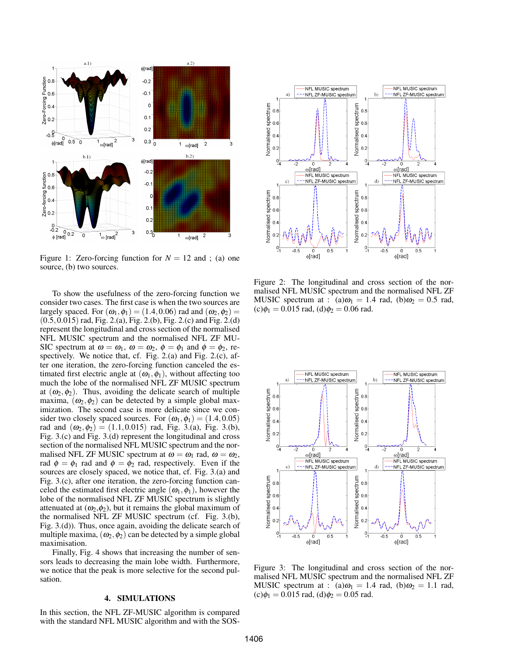

Figure 1: Zero-forcing function for  $N = 12$  and; (a) one source, (b) two sources.

To show the usefulness of the zero-forcing function we consider two cases. The first case is when the two sources are largely spaced. For  $(\omega_1, \phi_1) = (1.4, 0.06)$  rad and  $(\omega_2, \phi_2) =$ (0.5,0.015) rad, Fig. 2.(a), Fig. 2.(b), Fig. 2.(c) and Fig. 2.(d) represent the longitudinal and cross section of the normalised NFL MUSIC spectrum and the normalised NFL ZF MU-SIC spectrum at  $\omega = \omega_1$ ,  $\omega = \omega_2$ ,  $\phi = \phi_1$  and  $\phi = \phi_2$ , respectively. We notice that, cf. Fig. 2.(a) and Fig. 2.(c), after one iteration, the zero-forcing function canceled the estimated first electric angle at  $(\omega_1, \phi_1)$ , without affecting too much the lobe of the normalised NFL ZF MUSIC spectrum at  $(\omega_2, \phi_2)$ . Thus, avoiding the delicate search of multiple maxima,  $(\omega_2, \phi_2)$  can be detected by a simple global maximization. The second case is more delicate since we consider two closely spaced sources. For  $(\omega_1, \phi_1) = (1.4, 0.05)$ rad and  $(\omega_2, \phi_2) = (1.1, 0.015)$  rad, Fig. 3.(a), Fig. 3.(b), Fig. 3.(c) and Fig. 3.(d) represent the longitudinal and cross section of the normalised NFL MUSIC spectrum and the normalised NFL ZF MUSIC spectrum at  $\omega = \omega_1$  rad,  $\omega = \omega_2$ , rad  $\phi = \phi_1$  rad and  $\phi = \phi_2$  rad, respectively. Even if the sources are closely spaced, we notice that, cf. Fig. 3.(a) and Fig. 3.(c), after one iteration, the zero-forcing function canceled the estimated first electric angle  $(\omega_1, \phi_1)$ , however the lobe of the normalised NFL ZF MUSIC spectrum is slightly attenuated at  $(\omega_2, \phi_2)$ , but it remains the global maximum of the normalised NFL ZF MUSIC spectrum (cf. Fig. 3.(b), Fig. 3.(d)). Thus, once again, avoiding the delicate search of multiple maxima,  $(\omega_2, \phi_2)$  can be detected by a simple global maximisation.

Finally, Fig. 4 shows that increasing the number of sensors leads to decreasing the main lobe width. Furthermore, we notice that the peak is more selective for the second pulsation.

## 4. SIMULATIONS

In this section, the NFL ZF-MUSIC algorithm is compared with the standard NFL MUSIC algorithm and with the SOS-



Figure 2: The longitudinal and cross section of the normalised NFL MUSIC spectrum and the normalised NFL ZF MUSIC spectrum at : (a) $\omega_1 = 1.4$  rad, (b) $\omega_2 = 0.5$  rad,  $(c)\phi_1 = 0.015$  rad,  $(d)\phi_2 = 0.06$  rad.



Figure 3: The longitudinal and cross section of the normalised NFL MUSIC spectrum and the normalised NFL ZF MUSIC spectrum at : (a) $\omega_1 = 1.4$  rad, (b) $\omega_2 = 1.1$  rad,  $(c)\phi_1 = 0.015$  rad,  $(d)\phi_2 = 0.05$  rad.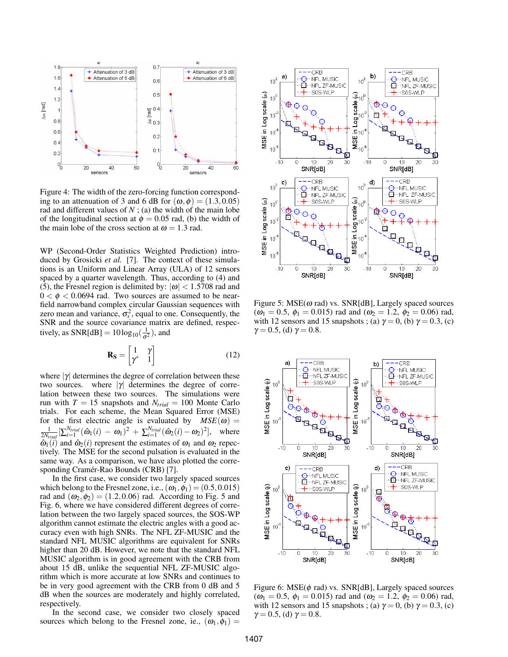

Figure 4: The width of the zero-forcing function corresponding to an attenuation of 3 and 6 dB for  $(\omega, \phi) = (1.3, 0.05)$ rad and different values of  $N$ ; (a) the width of the main lobe of the longitudinal section at  $\phi = 0.05$  rad, (b) the width of the main lobe of the cross section at  $\omega = 1.3$  rad.

WP (Second-Order Statistics Weighted Prediction) introduced by Grosicki *et al.* [7]. The context of these simulations is an Uniform and Linear Array (ULA) of 12 sensors spaced by a quarter wavelength. Thus, according to (4) and (5), the Fresnel region is delimited by:  $|\omega|$  < 1.5708 rad and  $0 < \phi < 0.0694$  rad. Two sources are assumed to be nearfield narrowband complex circular Gaussian sequences with zero mean and variance,  $\sigma_s^2$ , equal to one. Consequently, the SNR and the source covariance matrix are defined, respectively, as  $SNR[dB] = 10log_{10}(\frac{1}{\sigma^2})$ , and

$$
\mathbf{R}_{\mathbf{S}} = \begin{bmatrix} 1 & \gamma \\ \gamma^* & 1 \end{bmatrix} \tag{12}
$$

where  $|\gamma|$  determines the degree of correlation between these two sources. where  $|\gamma|$  determines the degree of correlation between these two sources. The simulations were run with  $T = 15$  snapshots and  $N_{trial} = 100$  Monte Carlo trials. For each scheme, the Mean Squared Error (MSE) for the first electric angle is evaluated by  $MSE(\omega) =$  $\frac{1}{2N_{trial}}[\sum_{i=1}^{N_{trial}}(\hat{\omega}_1(i) - \omega_1)^2 + \sum_{i=1}^{N_{trial}}(\hat{\omega}_2(i) - \omega_2)^2],$  where  $\hat{\omega}_1(\vec{i})$  and  $\hat{\omega}_2(i)$  represent the estimates of  $\omega_1$  and  $\omega_2$  repectively. The MSE for the second pulsation is evaluated in the same way. As a comparison, we have also plotted the corresponding Cramér-Rao Bounds (CRB) [7].

In the first case, we consider two largely spaced sources which belong to the Fresnel zone, i.e.,  $(\omega_1, \phi_1) = (0.5, 0.015)$ rad and  $(\omega_2, \phi_2) = (1.2, 0.06)$  rad. According to Fig. 5 and Fig. 6, where we have considered different degrees of correlation between the two largely spaced sources, the SOS-WP algorithm cannot estimate the electric angles with a good accuracy even with high SNRs. The NFL ZF-MUSIC and the standard NFL MUSIC algorithms are equivalent for SNRs higher than 20 dB. However, we note that the standard NFL MUSIC algorithm is in good agreement with the CRB from about 15 dB, unlike the sequential NFL ZF-MUSIC algorithm which is more accurate at low SNRs and continues to be in very good agreement with the CRB from 0 dB and 5 dB when the sources are moderately and highly correlated, respectively.

In the second case, we consider two closely spaced sources which belong to the Fresnel zone, ie.,  $(\omega_1, \phi_1)$  =



Figure 5:  $MSE(\omega \text{ rad})$  vs.  $SNR[dB]$ , Largely spaced sources  $(\omega_1 = 0.5, \phi_1 = 0.015)$  rad and  $(\omega_2 = 1.2, \phi_2 = 0.06)$  rad, with 12 sensors and 15 snapshots ; (a)  $\gamma = 0$ , (b)  $\gamma = 0.3$ , (c)  $\gamma = 0.5$ , (d)  $\gamma = 0.8$ .



Figure 6:  $MSE(\phi \text{ rad})$  vs.  $SNR[dB]$ , Largely spaced sources  $(\omega_1 = 0.5, \phi_1 = 0.015)$  rad and  $(\omega_2 = 1.2, \phi_2 = 0.06)$  rad, with 12 sensors and 15 snapshots ; (a)  $\gamma = 0$ , (b)  $\gamma = 0.3$ , (c)  $\gamma = 0.5$ , (d)  $\gamma = 0.8$ .